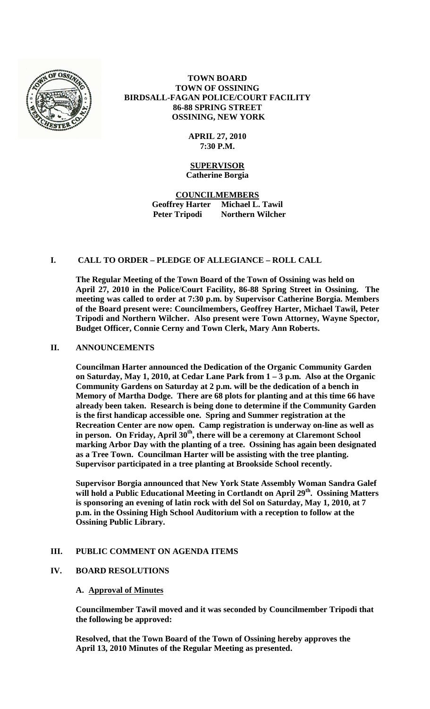

**TOWN BOARD TOWN OF OSSINING BIRDSALL-FAGAN POLICE/COURT FACILITY 86-88 SPRING STREET OSSINING, NEW YORK**

> **APRIL 27, 2010 7:30 P.M.**

### **SUPERVISOR Catherine Borgia**

**COUNCILMEMBERS Geoffrey Harter Michael L. Tawil Peter Tripodi Northern Wilcher**

#### **I. CALL TO ORDER – PLEDGE OF ALLEGIANCE – ROLL CALL**

**The Regular Meeting of the Town Board of the Town of Ossining was held on April 27, 2010 in the Police/Court Facility, 86-88 Spring Street in Ossining. The meeting was called to order at 7:30 p.m. by Supervisor Catherine Borgia. Members of the Board present were: Councilmembers, Geoffrey Harter, Michael Tawil, Peter Tripodi and Northern Wilcher. Also present were Town Attorney, Wayne Spector, Budget Officer, Connie Cerny and Town Clerk, Mary Ann Roberts.**

#### **II. ANNOUNCEMENTS**

**Councilman Harter announced the Dedication of the Organic Community Garden on Saturday, May 1, 2010, at Cedar Lane Park from 1 – 3 p.m. Also at the Organic Community Gardens on Saturday at 2 p.m. will be the dedication of a bench in Memory of Martha Dodge. There are 68 plots for planting and at this time 66 have already been taken. Research is being done to determine if the Community Garden is the first handicap accessible one. Spring and Summer registration at the Recreation Center are now open. Camp registration is underway on-line as well as**  in person. On Friday, April 30<sup>th</sup>, there will be a ceremony at Claremont School **marking Arbor Day with the planting of a tree. Ossining has again been designated as a Tree Town. Councilman Harter will be assisting with the tree planting. Supervisor participated in a tree planting at Brookside School recently.** 

**Supervisor Borgia announced that New York State Assembly Woman Sandra Galef will hold a Public Educational Meeting in Cortlandt on April 29th. Ossining Matters is sponsoring an evening of latin rock with del Sol on Saturday, May 1, 2010, at 7 p.m. in the Ossining High School Auditorium with a reception to follow at the Ossining Public Library.**

## **III. PUBLIC COMMENT ON AGENDA ITEMS**

#### **IV. BOARD RESOLUTIONS**

#### **A. Approval of Minutes**

**Councilmember Tawil moved and it was seconded by Councilmember Tripodi that the following be approved:**

**Resolved, that the Town Board of the Town of Ossining hereby approves the April 13, 2010 Minutes of the Regular Meeting as presented.**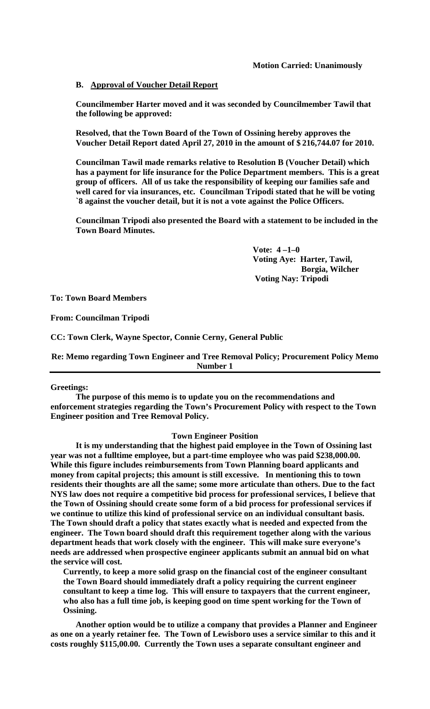#### **B. Approval of Voucher Detail Report**

**Councilmember Harter moved and it was seconded by Councilmember Tawil that the following be approved:**

**Resolved, that the Town Board of the Town of Ossining hereby approves the Voucher Detail Report dated April 27, 2010 in the amount of \$ 216,744.07 for 2010.**

**Councilman Tawil made remarks relative to Resolution B (Voucher Detail) which has a payment for life insurance for the Police Department members. This is a great group of officers. All of us take the responsibility of keeping our families safe and well cared for via insurances, etc. Councilman Tripodi stated that he will be voting `8 against the voucher detail, but it is not a vote against the Police Officers.** 

**Councilman Tripodi also presented the Board with a statement to be included in the Town Board Minutes.** 

> **Vote: 4 –1–0 Voting Aye: Harter, Tawil, Borgia, Wilcher Voting Nay: Tripodi**

**To: Town Board Members**

**From: Councilman Tripodi**

**CC: Town Clerk, Wayne Spector, Connie Cerny, General Public**

**Re: Memo regarding Town Engineer and Tree Removal Policy; Procurement Policy Memo Number 1**

#### **Greetings:**

**The purpose of this memo is to update you on the recommendations and enforcement strategies regarding the Town's Procurement Policy with respect to the Town Engineer position and Tree Removal Policy.**

#### **Town Engineer Position**

**It is my understanding that the highest paid employee in the Town of Ossining last year was not a fulltime employee, but a part-time employee who was paid \$238,000.00. While this figure includes reimbursements from Town Planning board applicants and money from capital projects; this amount is still excessive. In mentioning this to town residents their thoughts are all the same; some more articulate than others. Due to the fact NYS law does not require a competitive bid process for professional services, I believe that the Town of Ossining should create some form of a bid process for professional services if we continue to utilize this kind of professional service on an individual consultant basis. The Town should draft a policy that states exactly what is needed and expected from the engineer. The Town board should draft this requirement together along with the various department heads that work closely with the engineer. This will make sure everyone's needs are addressed when prospective engineer applicants submit an annual bid on what the service will cost.** 

**Currently, to keep a more solid grasp on the financial cost of the engineer consultant the Town Board should immediately draft a policy requiring the current engineer consultant to keep a time log. This will ensure to taxpayers that the current engineer, who also has a full time job, is keeping good on time spent working for the Town of Ossining.** 

**Another option would be to utilize a company that provides a Planner and Engineer as one on a yearly retainer fee. The Town of Lewisboro uses a service similar to this and it costs roughly \$115,00.00. Currently the Town uses a separate consultant engineer and**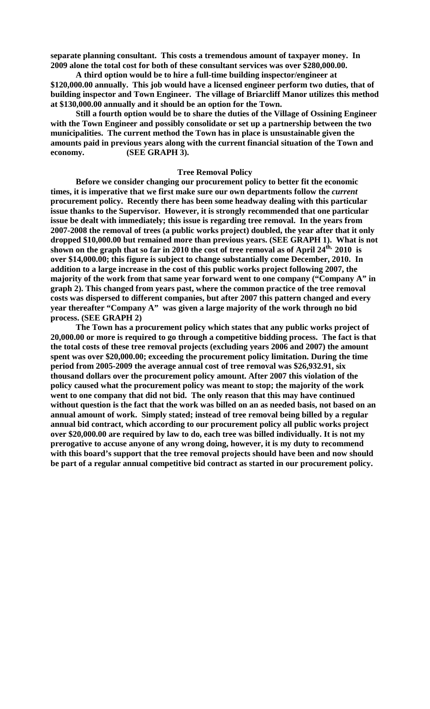**separate planning consultant. This costs a tremendous amount of taxpayer money. In 2009 alone the total cost for both of these consultant services was over \$280,000.00.** 

**A third option would be to hire a full-time building inspector/engineer at \$120,000.00 annually. This job would have a licensed engineer perform two duties, that of building inspector and Town Engineer. The village of Briarcliff Manor utilizes this method at \$130,000.00 annually and it should be an option for the Town.** 

**Still a fourth option would be to share the duties of the Village of Ossining Engineer with the Town Engineer and possibly consolidate or set up a partnership between the two municipalities. The current method the Town has in place is unsustainable given the amounts paid in previous years along with the current financial situation of the Town and economy. (SEE GRAPH 3).** 

#### **Tree Removal Policy**

**Before we consider changing our procurement policy to better fit the economic**  times, it is imperative that we first make sure our own departments follow the *current* **procurement policy. Recently there has been some headway dealing with this particular issue thanks to the Supervisor. However, it is strongly recommended that one particular issue be dealt with immediately; this issue is regarding tree removal. In the years from 2007-2008 the removal of trees (a public works project) doubled, the year after that it only dropped \$10,000.00 but remained more than previous years. (SEE GRAPH 1). What is not**  shown on the graph that so far in 2010 the cost of tree removal as of April 24<sup>th,</sup> 2010 is **over \$14,000.00; this figure is subject to change substantially come December, 2010. In addition to a large increase in the cost of this public works project following 2007, the majority of the work from that same year forward went to one company ("Company A" in graph 2). This changed from years past, where the common practice of the tree removal costs was dispersed to different companies, but after 2007 this pattern changed and every year thereafter "Company A" was given a large majority of the work through no bid process. (SEE GRAPH 2)** 

**The Town has a procurement policy which states that any public works project of 20,000.00 or more is required to go through a competitive bidding process. The fact is that the total costs of these tree removal projects (excluding years 2006 and 2007) the amount spent was over \$20,000.00; exceeding the procurement policy limitation. During the time period from 2005-2009 the average annual cost of tree removal was \$26,932.91, six thousand dollars over the procurement policy amount. After 2007 this violation of the policy caused what the procurement policy was meant to stop; the majority of the work went to one company that did not bid. The only reason that this may have continued without question is the fact that the work was billed on an as needed basis, not based on an annual amount of work. Simply stated; instead of tree removal being billed by a regular annual bid contract, which according to our procurement policy all public works project over \$20,000.00 are required by law to do, each tree was billed individually. It is not my prerogative to accuse anyone of any wrong doing, however, it is my duty to recommend with this board's support that the tree removal projects should have been and now should be part of a regular annual competitive bid contract as started in our procurement policy.**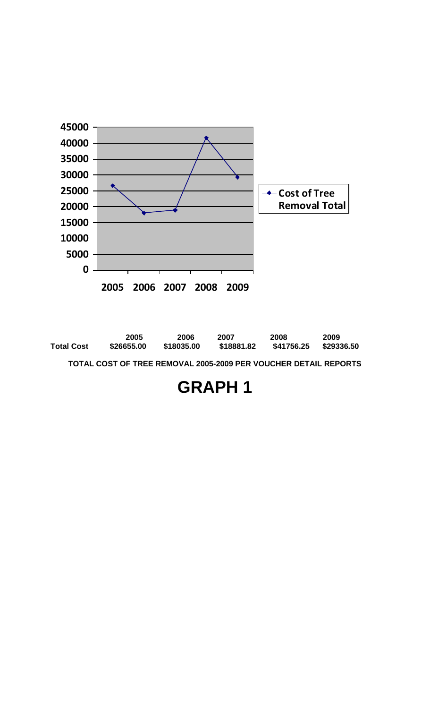

|                   | 2005       | 2006       | 2007       | 2008       | 2009       |
|-------------------|------------|------------|------------|------------|------------|
| <b>Total Cost</b> | \$26655.00 | \$18035.00 | \$18881.82 | \$41756.25 | \$29336.50 |

**TOTAL COST OF TREE REMOVAL 2005-2009 PER VOUCHER DETAIL REPORTS**

# **GRAPH 1**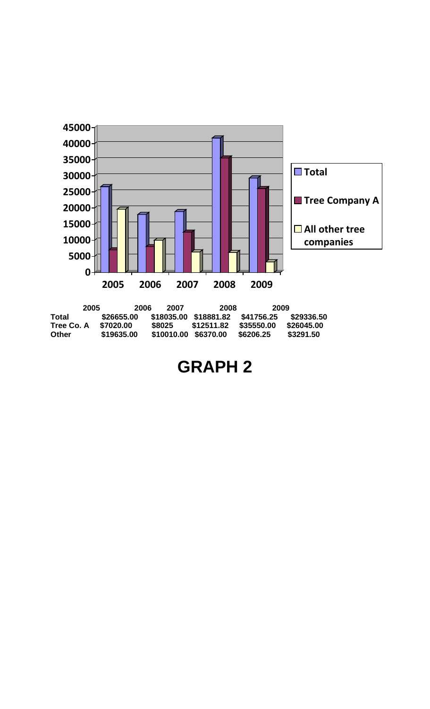

| 2005         | 2006       | 2007                 | 2008       | 2009       |            |
|--------------|------------|----------------------|------------|------------|------------|
| Total        | \$26655.00 | \$18035.00           | \$18881.82 | \$41756.25 | \$29336.50 |
| Tree Co. A   | \$7020.00  | \$8025               | \$12511.82 | \$35550.00 | \$26045.00 |
| <b>Other</b> | \$19635.00 | \$10010.00 \$6370.00 |            | \$6206.25  | \$3291.50  |

# **GRAPH 2**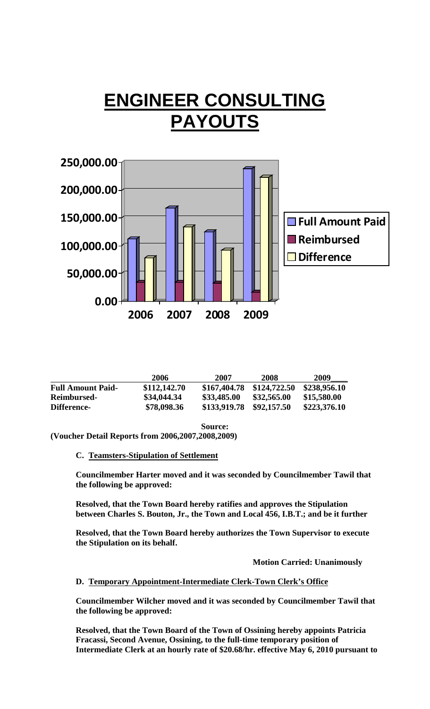# **ENGINEER CONSULTING PAYOUTS**



|                          | 2006         | 2007         | 2008         | 2009         |
|--------------------------|--------------|--------------|--------------|--------------|
| <b>Full Amount Paid-</b> | \$112,142.70 | \$167,404.78 | \$124,722.50 | \$238,956.10 |
| Reimbursed-              | \$34,044.34  | \$33,485.00  | \$32,565.00  | \$15,580.00  |
| Difference-              | \$78,098.36  | \$133,919.78 | \$92,157.50  | \$223,376.10 |

**Source:**

**(Voucher Detail Reports from 2006,2007,2008,2009)**

**C. Teamsters-Stipulation of Settlement**

**Councilmember Harter moved and it was seconded by Councilmember Tawil that the following be approved:**

**Resolved, that the Town Board hereby ratifies and approves the Stipulation between Charles S. Bouton, Jr., the Town and Local 456, I.B.T.; and be it further**

**Resolved, that the Town Board hereby authorizes the Town Supervisor to execute the Stipulation on its behalf.**

**Motion Carried: Unanimously**

**D. Temporary Appointment-Intermediate Clerk-Town Clerk's Office**

**Councilmember Wilcher moved and it was seconded by Councilmember Tawil that the following be approved:**

**Resolved, that the Town Board of the Town of Ossining hereby appoints Patricia Fracassi, Second Avenue, Ossining, to the full-time temporary position of Intermediate Clerk at an hourly rate of \$20.68/hr. effective May 6, 2010 pursuant to**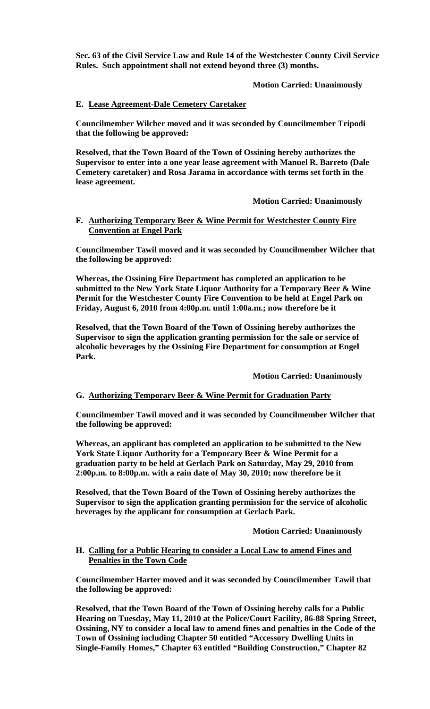**Sec. 63 of the Civil Service Law and Rule 14 of the Westchester County Civil Service Rules. Such appointment shall not extend beyond three (3) months.**

### **Motion Carried: Unanimously**

### **E. Lease Agreement-Dale Cemetery Caretaker**

**Councilmember Wilcher moved and it was seconded by Councilmember Tripodi that the following be approved:**

**Resolved, that the Town Board of the Town of Ossining hereby authorizes the Supervisor to enter into a one year lease agreement with Manuel R. Barreto (Dale Cemetery caretaker) and Rosa Jarama in accordance with terms set forth in the lease agreement.** 

#### **Motion Carried: Unanimously**

**F. Authorizing Temporary Beer & Wine Permit for Westchester County Fire Convention at Engel Park**

**Councilmember Tawil moved and it was seconded by Councilmember Wilcher that the following be approved:**

**Whereas, the Ossining Fire Department has completed an application to be submitted to the New York State Liquor Authority for a Temporary Beer & Wine Permit for the Westchester County Fire Convention to be held at Engel Park on Friday, August 6, 2010 from 4:00p.m. until 1:00a.m.; now therefore be it**

**Resolved, that the Town Board of the Town of Ossining hereby authorizes the Supervisor to sign the application granting permission for the sale or service of alcoholic beverages by the Ossining Fire Department for consumption at Engel Park.**

**Motion Carried: Unanimously**

#### **G. Authorizing Temporary Beer & Wine Permit for Graduation Party**

**Councilmember Tawil moved and it was seconded by Councilmember Wilcher that the following be approved:**

**Whereas, an applicant has completed an application to be submitted to the New York State Liquor Authority for a Temporary Beer & Wine Permit for a graduation party to be held at Gerlach Park on Saturday, May 29, 2010 from 2:00p.m. to 8:00p.m. with a rain date of May 30, 2010; now therefore be it**

**Resolved, that the Town Board of the Town of Ossining hereby authorizes the Supervisor to sign the application granting permission for the service of alcoholic beverages by the applicant for consumption at Gerlach Park.** 

**Motion Carried: Unanimously**

#### **H. Calling for a Public Hearing to consider a Local Law to amend Fines and Penalties in the Town Code**

**Councilmember Harter moved and it was seconded by Councilmember Tawil that the following be approved:**

**Resolved, that the Town Board of the Town of Ossining hereby calls for a Public Hearing on Tuesday, May 11, 2010 at the Police/Court Facility, 86-88 Spring Street, Ossining, NY to consider a local law to amend fines and penalties in the Code of the Town of Ossining including Chapter 50 entitled "Accessory Dwelling Units in Single-Family Homes," Chapter 63 entitled "Building Construction," Chapter 82**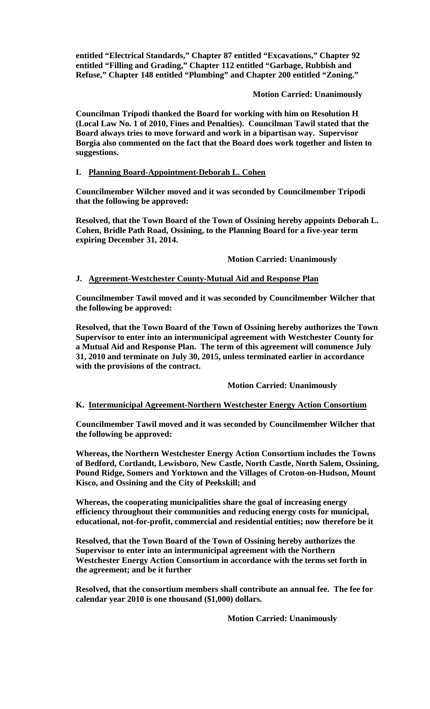**entitled "Electrical Standards," Chapter 87 entitled "Excavations," Chapter 92 entitled "Filling and Grading," Chapter 112 entitled "Garbage, Rubbish and Refuse," Chapter 148 entitled "Plumbing" and Chapter 200 entitled "Zoning."**

**Motion Carried: Unanimously**

**Councilman Tripodi thanked the Board for working with him on Resolution H (Local Law No. 1 of 2010, Fines and Penalties). Councilman Tawil stated that the Board always tries to move forward and work in a bipartisan way. Supervisor Borgia also commented on the fact that the Board does work together and listen to suggestions.** 

### **I. Planning Board-Appointment-Deborah L. Cohen**

**Councilmember Wilcher moved and it was seconded by Councilmember Tripodi that the following be approved:**

**Resolved, that the Town Board of the Town of Ossining hereby appoints Deborah L. Cohen, Bridle Path Road, Ossining, to the Planning Board for a five-year term expiring December 31, 2014.**

#### **Motion Carried: Unanimously**

#### **J. Agreement-Westchester County-Mutual Aid and Response Plan**

**Councilmember Tawil moved and it was seconded by Councilmember Wilcher that the following be approved:**

**Resolved, that the Town Board of the Town of Ossining hereby authorizes the Town Supervisor to enter into an intermunicipal agreement with Westchester County for a Mutual Aid and Response Plan. The term of this agreement will commence July 31, 2010 and terminate on July 30, 2015, unless terminated earlier in accordance with the provisions of the contract.**

#### **Motion Carried: Unanimously**

#### **K. Intermunicipal Agreement-Northern Westchester Energy Action Consortium**

**Councilmember Tawil moved and it was seconded by Councilmember Wilcher that the following be approved:**

**Whereas, the Northern Westchester Energy Action Consortium includes the Towns of Bedford, Cortlandt, Lewisboro, New Castle, North Castle, North Salem, Ossining, Pound Ridge, Somers and Yorktown and the Villages of Croton-on-Hudson, Mount Kisco, and Ossining and the City of Peekskill; and** 

**Whereas, the cooperating municipalities share the goal of increasing energy efficiency throughout their communities and reducing energy costs for municipal, educational, not-for-profit, commercial and residential entities; now therefore be it**

**Resolved, that the Town Board of the Town of Ossining hereby authorizes the Supervisor to enter into an intermunicipal agreement with the Northern Westchester Energy Action Consortium in accordance with the terms set forth in the agreement; and be it further**

**Resolved, that the consortium members shall contribute an annual fee. The fee for calendar year 2010 is one thousand (\$1,000) dollars.**

**Motion Carried: Unanimously**